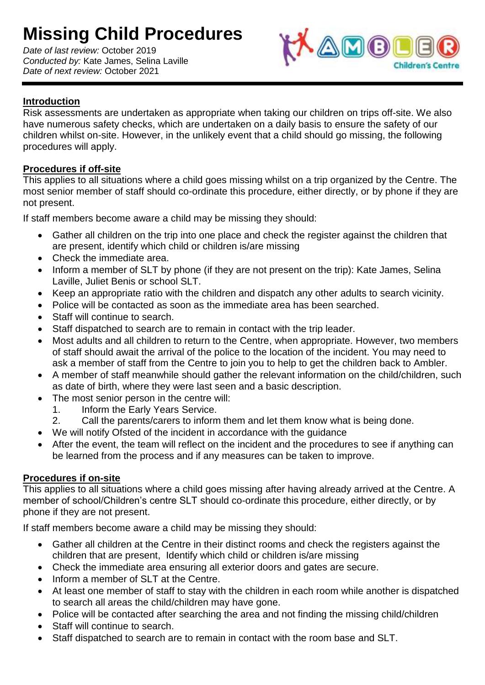## **Missing Child Procedures**

*Date of last review:* October 2019 *Conducted by:* Kate James, Selina Laville *Date of next review:* October 2021



## **Introduction**

Risk assessments are undertaken as appropriate when taking our children on trips off-site. We also have numerous safety checks, which are undertaken on a daily basis to ensure the safety of our children whilst on-site. However, in the unlikely event that a child should go missing, the following procedures will apply.

## **Procedures if off-site**

This applies to all situations where a child goes missing whilst on a trip organized by the Centre. The most senior member of staff should co-ordinate this procedure, either directly, or by phone if they are not present.

If staff members become aware a child may be missing they should:

- Gather all children on the trip into one place and check the register against the children that are present, identify which child or children is/are missing
- Check the immediate area.
- Inform a member of SLT by phone (if they are not present on the trip): Kate James, Selina Laville, Juliet Benis or school SLT.
- Keep an appropriate ratio with the children and dispatch any other adults to search vicinity.
- Police will be contacted as soon as the immediate area has been searched.
- Staff will continue to search.
- Staff dispatched to search are to remain in contact with the trip leader.
- Most adults and all children to return to the Centre, when appropriate. However, two members of staff should await the arrival of the police to the location of the incident. You may need to ask a member of staff from the Centre to join you to help to get the children back to Ambler.
- A member of staff meanwhile should gather the relevant information on the child/children, such as date of birth, where they were last seen and a basic description.
- The most senior person in the centre will:
	- 1. Inform the Early Years Service.
	- 2. Call the parents/carers to inform them and let them know what is being done.
- We will notify Ofsted of the incident in accordance with the guidance
- After the event, the team will reflect on the incident and the procedures to see if anything can be learned from the process and if any measures can be taken to improve.

## **Procedures if on-site**

This applies to all situations where a child goes missing after having already arrived at the Centre. A member of school/Children's centre SLT should co-ordinate this procedure, either directly, or by phone if they are not present.

If staff members become aware a child may be missing they should:

- Gather all children at the Centre in their distinct rooms and check the registers against the children that are present, Identify which child or children is/are missing
- Check the immediate area ensuring all exterior doors and gates are secure.
- Inform a member of SLT at the Centre.
- At least one member of staff to stay with the children in each room while another is dispatched to search all areas the child/children may have gone.
- Police will be contacted after searching the area and not finding the missing child/children
- Staff will continue to search.
- Staff dispatched to search are to remain in contact with the room base and SLT.